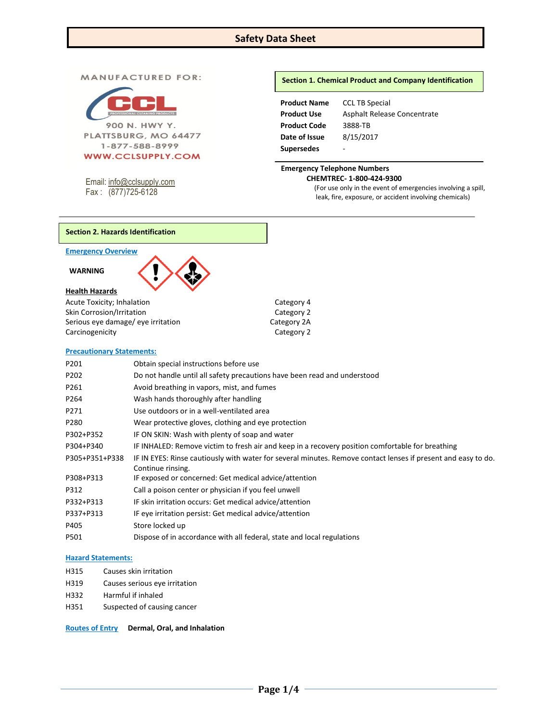# **Safety Data Sheet**

#### **MANUFACTURED FOR:**



#### **WWW.CCLSUPPLY.COM**

Email: [info@cclsupply.com](mailto:info@cclsupply.com) Fax : (877)725-6128

## **Section 1. Chemical Product and Company Identification**

| <b>Product Name</b> | <b>CCL TB Special</b>       |
|---------------------|-----------------------------|
| Product Use         | Asphalt Release Concentrate |
| Product Code        | 3888-TB                     |
| Date of Issue       | 8/15/2017                   |
| Supersedes          |                             |

## **Emergency Telephone Numbers CHEMTREC- 1-800-424-9300**

(For use only in the event of emergencies involving a spill, leak, fire, exposure, or accident involving chemicals)

#### **Section 2. Hazards Identification**

## **Emergency Overview**

#### **WARNING**



Acute Toxicity; Inhalation Category 4 Skin Corrosion/Irritation Category 2 Serious eye damage/ eye irritation example and the Category 2A Carcinogenicity **Category 2** 

## **Precautionary Statements:**

| P201           | Obtain special instructions before use                                                                                             |
|----------------|------------------------------------------------------------------------------------------------------------------------------------|
| P202           | Do not handle until all safety precautions have been read and understood                                                           |
| P261           | Avoid breathing in vapors, mist, and fumes                                                                                         |
| P264           | Wash hands thoroughly after handling                                                                                               |
| P271           | Use outdoors or in a well-ventilated area                                                                                          |
| P280           | Wear protective gloves, clothing and eye protection                                                                                |
| P302+P352      | IF ON SKIN: Wash with plenty of soap and water                                                                                     |
| P304+P340      | IF INHALED: Remove victim to fresh air and keep in a recovery position comfortable for breathing                                   |
| P305+P351+P338 | IF IN EYES: Rinse cautiously with water for several minutes. Remove contact lenses if present and easy to do.<br>Continue rinsing. |
| P308+P313      | IF exposed or concerned: Get medical advice/attention                                                                              |
| P312           | Call a poison center or physician if you feel unwell                                                                               |
| P332+P313      | IF skin irritation occurs: Get medical advice/attention                                                                            |
| P337+P313      | IF eye irritation persist: Get medical advice/attention                                                                            |
| P405           | Store locked up                                                                                                                    |
| P501           | Dispose of in accordance with all federal, state and local regulations                                                             |

#### **Hazard Statements:**

- H315 Causes skin irritation
- H319 Causes serious eye irritation
- H332 Harmful if inhaled
- H351 Suspected of causing cancer

**Routes of Entry Dermal, Oral, and Inhalation**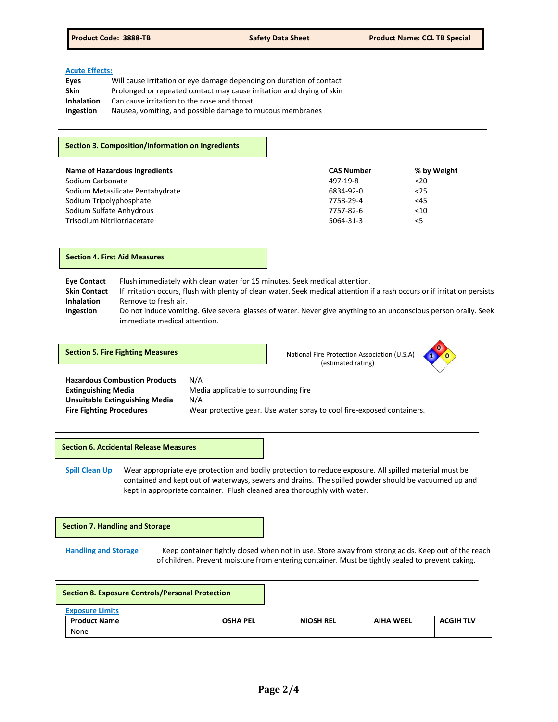#### **Acute Effects:**

| Eyes              | Will cause irritation or eye damage depending on duration of contact  |
|-------------------|-----------------------------------------------------------------------|
| Skin              | Prolonged or repeated contact may cause irritation and drying of skin |
| <b>Inhalation</b> | Can cause irritation to the nose and throat                           |
| Ingestion         | Nausea, vomiting, and possible damage to mucous membranes             |
|                   |                                                                       |

## **Section 3. Composition/Information on Ingredients**

| Name of Hazardous Ingredients    | <b>CAS Number</b> | % by Weight |
|----------------------------------|-------------------|-------------|
| Sodium Carbonate                 | 497-19-8          | $20$        |
| Sodium Metasilicate Pentahydrate | 6834-92-0         | $25$        |
| Sodium Tripolyphosphate          | 7758-29-4         | <45         |
| Sodium Sulfate Anhydrous         | 7757-82-6         | $<$ 10      |
| Trisodium Nitrilotriacetate      | 5064-31-3         | $<$ 5       |

#### **Section 4. First Aid Measures**

**Eye Contact** Flush immediately with clean water for 15 minutes. Seek medical attention. **Skin Contact** If irritation occurs, flush with plenty of clean water. Seek medical attention if a rash occurs or if irritation persists. **Inhalation** Remove to fresh air. **Ingestion** Do not induce vomiting. Give several glasses of water. Never give anything to an unconscious person orally. Seek immediate medical attention.

**Section 5. Fire Fighting Measures National Fire Protection Association (U.S.A)** National Fire Protection Association (U.S.A)

(estimated rating)



**Hazardous Combustion Products** N/A **Unsuitable Extinguishing Media** N/A **Fire Fighting Procedures** Wear protective gear. Use water spray to cool fire-exposed containers.

**Extinguishing Media** Media applicable to surrounding fire

**Section 6. Accidental Release Measures**

**Spill Clean Up** Wear appropriate eye protection and bodily protection to reduce exposure. All spilled material must be contained and kept out of waterways, sewers and drains. The spilled powder should be vacuumed up and kept in appropriate container. Flush cleaned area thoroughly with water.

**Section 7. Handling and Storage** 

**Handling and Storage** Keep container tightly closed when not in use. Store away from strong acids. Keep out of the reach of children. Prevent moisture from entering container. Must be tightly sealed to prevent caking.

| <b>Section 8. Exposure Controls/Personal Protection</b> |                        |                 |                  |                  |                  |
|---------------------------------------------------------|------------------------|-----------------|------------------|------------------|------------------|
|                                                         | <b>Exposure Limits</b> |                 |                  |                  |                  |
|                                                         | <b>Product Name</b>    | <b>OSHA PEL</b> | <b>NIOSH REL</b> | <b>AIHA WEEL</b> | <b>ACGIH TLV</b> |
|                                                         | None                   |                 |                  |                  |                  |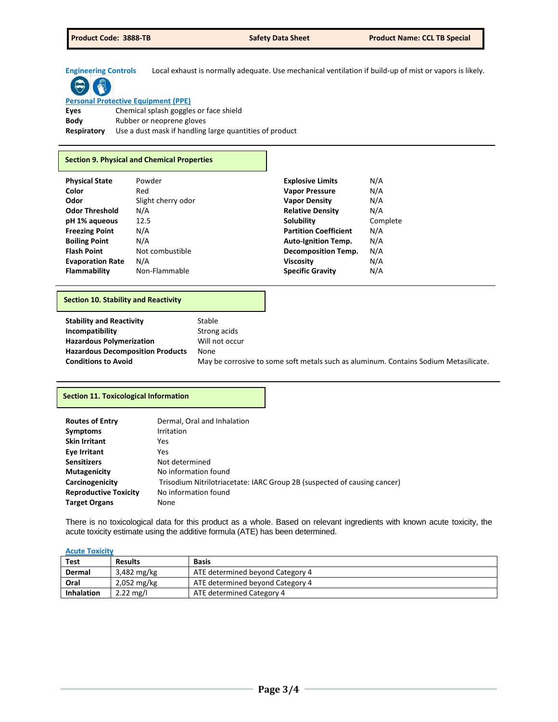**Engineering Controls** Local exhaust is normally adequate. Use mechanical ventilation if build-up of mist or vapors is likely.

# **Personal Protective Equipment (PPE)**

**Eyes** Chemical splash goggles or face shield **Body** Rubber or neoprene gloves **Respiratory** Use a dust mask if handling large quantities of product

## **Section 9. Physical and Chemical Properties**

| <b>Physical State</b>   | Powder             | <b>Explosive Limits</b>      | N/A      |
|-------------------------|--------------------|------------------------------|----------|
| Color                   | Red                | <b>Vapor Pressure</b>        | N/A      |
| Odor                    | Slight cherry odor | <b>Vapor Density</b>         | N/A      |
| <b>Odor Threshold</b>   | N/A                | <b>Relative Density</b>      | N/A      |
| pH 1% aqueous           | 12.5               | Solubility                   | Complete |
| <b>Freezing Point</b>   | N/A                | <b>Partition Coefficient</b> | N/A      |
| <b>Boiling Point</b>    | N/A                | <b>Auto-Ignition Temp.</b>   | N/A      |
| <b>Flash Point</b>      | Not combustible    | <b>Decomposition Temp.</b>   | N/A      |
| <b>Evaporation Rate</b> | N/A                | <b>Viscosity</b>             | N/A      |
| <b>Flammability</b>     | Non-Flammable      | <b>Specific Gravity</b>      | N/A      |

## **Section 10. Stability and Reactivity**

| <b>Stability and Reactivity</b>         | Stable                                                                               |
|-----------------------------------------|--------------------------------------------------------------------------------------|
| Incompatibility                         | Strong acids                                                                         |
| <b>Hazardous Polymerization</b>         | Will not occur                                                                       |
| <b>Hazardous Decomposition Products</b> | None                                                                                 |
| <b>Conditions to Avoid</b>              | May be corrosive to some soft metals such as aluminum. Contains Sodium Metasilicate. |

## **Section 11. Toxicological Information**

| <b>Routes of Entry</b>       | Dermal, Oral and Inhalation                                              |
|------------------------------|--------------------------------------------------------------------------|
| <b>Symptoms</b>              | Irritation                                                               |
| <b>Skin Irritant</b>         | Yes                                                                      |
| Eye Irritant                 | Yes                                                                      |
| <b>Sensitizers</b>           | Not determined                                                           |
| <b>Mutagenicity</b>          | No information found                                                     |
| Carcinogenicity              | Trisodium Nitrilotriacetate: IARC Group 2B (suspected of causing cancer) |
| <b>Reproductive Toxicity</b> | No information found                                                     |
| <b>Target Organs</b>         | None                                                                     |

There is no toxicological data for this product as a whole. Based on relevant ingredients with known acute toxicity, the acute toxicity estimate using the additive formula (ATE) has been determined.

#### **Acute Toxicity**

| <b>Test</b>       | <b>Results</b>      | <b>Basis</b>                     |
|-------------------|---------------------|----------------------------------|
| Dermal            | 3,482 mg/kg         | ATE determined beyond Category 4 |
| Oral              | $2,052$ mg/kg       | ATE determined beyond Category 4 |
| <b>Inhalation</b> | $2.22 \text{ mg/l}$ | ATE determined Category 4        |